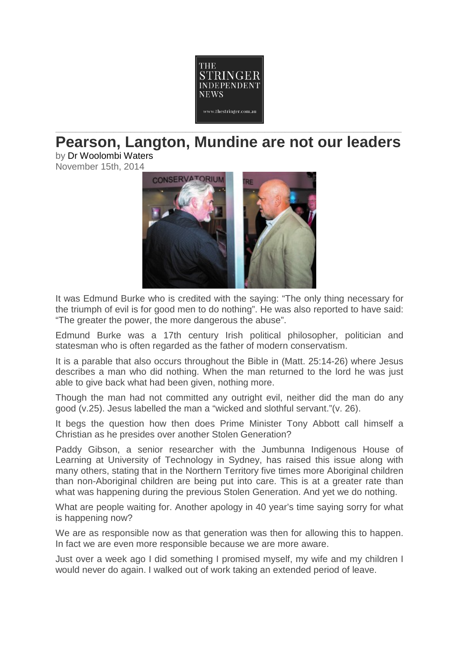

## **Pearson, Langton, Mundine are not our leaders**

by Dr [Woolombi](http://thestringer.com.au/author/woolombiwaters) Waters November 15th, 2014



It was Edmund Burke who is credited with the saying: "The only thing necessary for the triumph of evil is for good men to do nothing". He was also reported to have said: "The greater the power, the more dangerous the abuse".

Edmund Burke was a 17th century Irish political philosopher, politician and statesman who is often regarded as the father of modern conservatism.

It is a parable that also occurs throughout the Bible in (Matt. 25:14-26) where Jesus describes a man who did nothing. When the man returned to the lord he was just able to give back what had been given, nothing more.

Though the man had not committed any outright evil, neither did the man do any good (v.25). Jesus labelled the man a "wicked and slothful servant."(v. 26).

It begs the question how then does Prime Minister Tony Abbott call himself a Christian as he presides over another Stolen Generation?

Paddy Gibson, a senior researcher with the Jumbunna Indigenous House of Learning at University of Technology in Sydney, has raised this issue along with many others, stating that in the Northern Territory five times more Aboriginal children than non-Aboriginal children are being put into care. This is at a greater rate than what was happening during the previous Stolen Generation. And yet we do nothing.

What are people waiting for. Another apology in 40 year's time saying sorry for what is happening now?

We are as responsible now as that generation was then for allowing this to happen. In fact we are even more responsible because we are more aware.

Just over a week ago I did something I promised myself, my wife and my children I would never do again. I walked out of work taking an extended period of leave.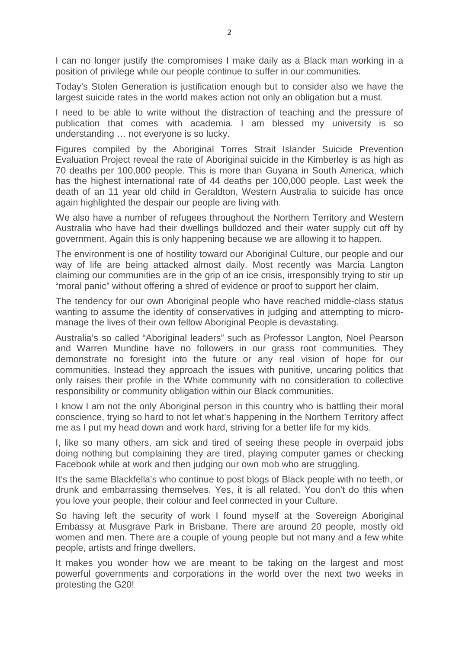I can no longer justify the compromises I make daily as a Black man working in a position of privilege while our people continue to suffer in our communities.

Today's Stolen Generation is justification enough but to consider also we have the largest suicide rates in the world makes action not only an obligation but a must.

I need to be able to write without the distraction of teaching and the pressure of publication that comes with academia. I am blessed my university is so understanding … not everyone is so lucky.

Figures compiled by the Aboriginal Torres Strait Islander Suicide Prevention Evaluation Project reveal the rate of Aboriginal suicide in the Kimberley is as high as 70 deaths per 100,000 people. This is more than Guyana in South America, which has the highest international rate of 44 deaths per 100,000 people. Last week the death of an 11 year old child in Geraldton, Western Australia to suicide has once again highlighted the despair our people are living with.

We also have a number of refugees throughout the Northern Territory and Western Australia who have had their dwellings bulldozed and their water supply cut off by government. Again this is only happening because we are allowing it to happen.

The environment is one of hostility toward our Aboriginal Culture, our people and our way of life are being attacked almost daily. Most recently was Marcia Langton claiming our communities are in the grip of an ice crisis, irresponsibly trying to stir up "moral panic" without offering a shred of evidence or proof to support her claim.

The tendency for our own Aboriginal people who have reached middle-class status wanting to assume the identity of conservatives in judging and attempting to micromanage the lives of their own fellow Aboriginal People is devastating.

Australia's so called "Aboriginal leaders" such as Professor Langton, Noel Pearson and Warren Mundine have no followers in our grass root communities. They demonstrate no foresight into the future or any real vision of hope for our communities. Instead they approach the issues with punitive, uncaring politics that only raises their profile in the White community with no consideration to collective responsibility or community obligation within our Black communities.

I know I am not the only Aboriginal person in this country who is battling their moral conscience, trying so hard to not let what's happening in the Northern Territory affect me as I put my head down and work hard, striving for a better life for my kids.

I, like so many others, am sick and tired of seeing these people in overpaid jobs doing nothing but complaining they are tired, playing computer games or checking Facebook while at work and then judging our own mob who are struggling.

It's the same Blackfella's who continue to post blogs of Black people with no teeth, or drunk and embarrassing themselves. Yes, it is all related. You don't do this when you love your people, their colour and feel connected in your Culture.

So having left the security of work I found myself at the Sovereign Aboriginal Embassy at Musgrave Park in Brisbane. There are around 20 people, mostly old women and men. There are a couple of young people but not many and a few white people, artists and fringe dwellers.

It makes you wonder how we are meant to be taking on the largest and most powerful governments and corporations in the world over the next two weeks in protesting the G20!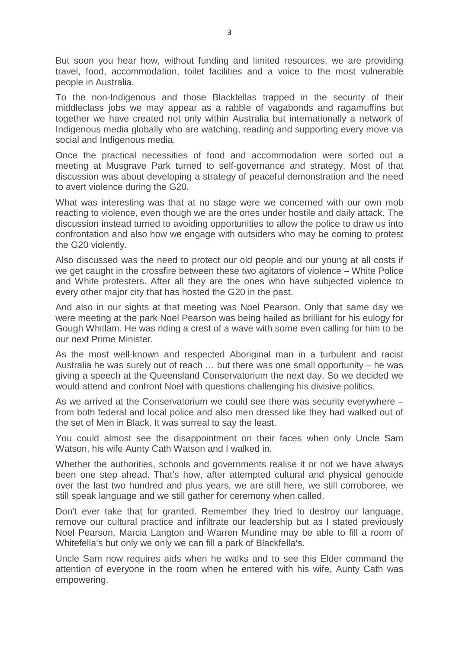But soon you hear how, without funding and limited resources, we are providing travel, food, accommodation, toilet facilities and a voice to the most vulnerable people in Australia.

To the non-Indigenous and those Blackfellas trapped in the security of their middleclass jobs we may appear as a rabble of vagabonds and ragamuffins but together we have created not only within Australia but internationally a network of Indigenous media globally who are watching, reading and supporting every move via social and Indigenous media.

Once the practical necessities of food and accommodation were sorted out a meeting at Musgrave Park turned to self-governance and strategy. Most of that discussion was about developing a strategy of peaceful demonstration and the need to avert violence during the G20.

What was interesting was that at no stage were we concerned with our own mob reacting to violence, even though we are the ones under hostile and daily attack. The discussion instead turned to avoiding opportunities to allow the police to draw us into confrontation and also how we engage with outsiders who may be coming to protest the G20 violently.

Also discussed was the need to protect our old people and our young at all costs if we get caught in the crossfire between these two agitators of violence – White Police and White protesters. After all they are the ones who have subjected violence to every other major city that has hosted the G20 in the past.

And also in our sights at that meeting was Noel Pearson. Only that same day we were meeting at the park Noel Pearson was being hailed as brilliant for his eulogy for Gough Whitlam. He was riding a crest of a wave with some even calling for him to be our next Prime Minister.

As the most well-known and respected Aboriginal man in a turbulent and racist Australia he was surely out of reach … but there was one small opportunity – he was giving a speech at the Queensland Conservatorium the next day. So we decided we would attend and confront Noel with questions challenging his divisive politics.

As we arrived at the Conservatorium we could see there was security everywhere – from both federal and local police and also men dressed like they had walked out of the set of Men in Black. It was surreal to say the least.

You could almost see the disappointment on their faces when only Uncle Sam Watson, his wife Aunty Cath Watson and I walked in.

Whether the authorities, schools and governments realise it or not we have always been one step ahead. That's how, after attempted cultural and physical genocide over the last two hundred and plus years, we are still here, we still corroboree, we still speak language and we still gather for ceremony when called.

Don't ever take that for granted. Remember they tried to destroy our language, remove our cultural practice and infiltrate our leadership but as I stated previously Noel Pearson, Marcia Langton and Warren Mundine may be able to fill a room of Whitefella's but only we only we can fill a park of Blackfella's.

Uncle Sam now requires aids when he walks and to see this Elder command the attention of everyone in the room when he entered with his wife, Aunty Cath was empowering.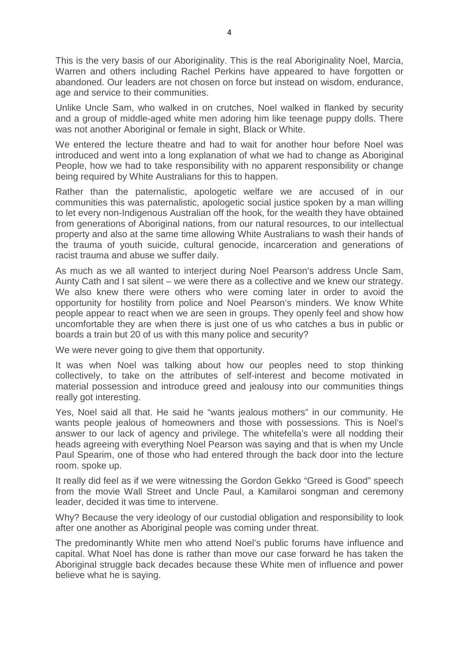This is the very basis of our Aboriginality. This is the real Aboriginality Noel, Marcia, Warren and others including Rachel Perkins have appeared to have forgotten or abandoned. Our leaders are not chosen on force but instead on wisdom, endurance, age and service to their communities.

Unlike Uncle Sam, who walked in on crutches, Noel walked in flanked by security and a group of middle-aged white men adoring him like teenage puppy dolls. There was not another Aboriginal or female in sight, Black or White.

We entered the lecture theatre and had to wait for another hour before Noel was introduced and went into a long explanation of what we had to change as Aboriginal People, how we had to take responsibility with no apparent responsibility or change being required by White Australians for this to happen.

Rather than the paternalistic, apologetic welfare we are accused of in our communities this was paternalistic, apologetic social justice spoken by a man willing to let every non-Indigenous Australian off the hook, for the wealth they have obtained from generations of Aboriginal nations, from our natural resources, to our intellectual property and also at the same time allowing White Australians to wash their hands of the trauma of youth suicide, cultural genocide, incarceration and generations of racist trauma and abuse we suffer daily.

As much as we all wanted to interject during Noel Pearson's address Uncle Sam, Aunty Cath and I sat silent – we were there as a collective and we knew our strategy. We also knew there were others who were coming later in order to avoid the opportunity for hostility from police and Noel Pearson's minders. We know White people appear to react when we are seen in groups. They openly feel and show how uncomfortable they are when there is just one of us who catches a bus in public or boards a train but 20 of us with this many police and security?

We were never going to give them that opportunity.

It was when Noel was talking about how our peoples need to stop thinking collectively, to take on the attributes of self-interest and become motivated in material possession and introduce greed and jealousy into our communities things really got interesting.

Yes, Noel said all that. He said he "wants jealous mothers" in our community. He wants people jealous of homeowners and those with possessions. This is Noel's answer to our lack of agency and privilege. The whitefella's were all nodding their heads agreeing with everything Noel Pearson was saying and that is when my Uncle Paul Spearim, one of those who had entered through the back door into the lecture room. spoke up.

It really did feel as if we were witnessing the Gordon Gekko "Greed is Good" speech from the movie Wall Street and Uncle Paul, a Kamilaroi songman and ceremony leader, decided it was time to intervene.

Why? Because the very ideology of our custodial obligation and responsibility to look after one another as Aboriginal people was coming under threat.

The predominantly White men who attend Noel's public forums have influence and capital. What Noel has done is rather than move our case forward he has taken the Aboriginal struggle back decades because these White men of influence and power believe what he is saying.